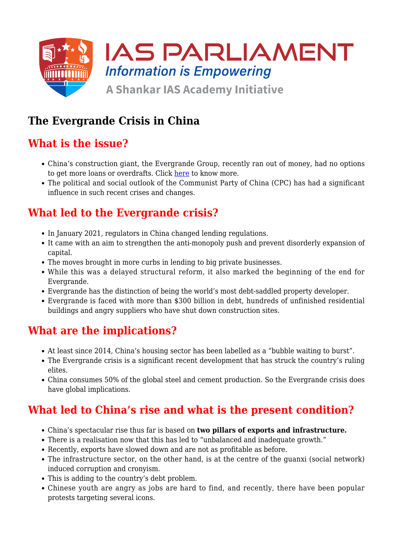

### **The Evergrande Crisis in China**

## **What is the issue?**

- China's construction giant, the Evergrande Group, recently ran out of money, had no options to get more loans or overdrafts. Click [here](https://www.iasparliament.com/current-affairs/chinas-evergrande-crisis) to know more.
- The political and social outlook of the Communist Party of China (CPC) has had a significant influence in such recent crises and changes.

#### **What led to the Evergrande crisis?**

- In January 2021, regulators in China changed lending regulations.
- It came with an aim to strengthen the anti-monopoly push and prevent disorderly expansion of capital.
- The moves brought in more curbs in lending to big private businesses.
- While this was a delayed structural reform, it also marked the beginning of the end for Evergrande.
- Evergrande has the distinction of being the world's most debt-saddled property developer.
- Evergrande is faced with more than \$300 billion in debt, hundreds of unfinished residential buildings and angry suppliers who have shut down construction sites.

## **What are the implications?**

- At least since 2014, China's housing sector has been labelled as a "bubble waiting to burst".
- The Evergrande crisis is a significant recent development that has struck the country's ruling elites.
- China consumes 50% of the global steel and cement production. So the Evergrande crisis does have global implications.

## **What led to China's rise and what is the present condition?**

- China's spectacular rise thus far is based on **two pillars of exports and infrastructure.**
- There is a realisation now that this has led to "unbalanced and inadequate growth."
- Recently, exports have slowed down and are not as profitable as before.
- The infrastructure sector, on the other hand, is at the centre of the guanxi (social network) induced corruption and cronyism.
- This is adding to the country's debt problem.
- Chinese youth are angry as jobs are hard to find, and recently, there have been popular protests targeting several icons.